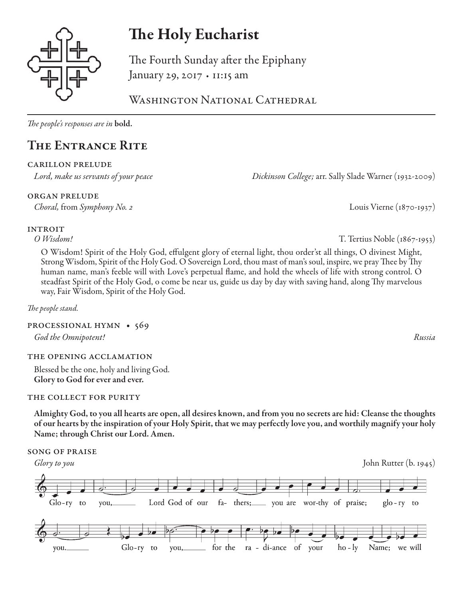

# The Holy Eucharist

The Fourth Sunday after the Epiphany January 29, 2017 • 11:15 am

Washington National Cathedral

*The people's responses are in* bold.

## The Entrance Rite

### carillon prelude

*Lord, make us servants of your peace Dickinson College;* arr. Sally Slade Warner (1932-2009)

#### organ prelude

*Choral,* from *Symphony No. 2* Louis Vierne (1870-1937)

#### **INTROIT**

*O Wisdom!* T. Tertius Noble (1867-1953)

O Wisdom! Spirit of the Holy God, effulgent glory of eternal light, thou order'st all things, O divinest Might, Strong Wisdom, Spirit of the Holy God. O Sovereign Lord, thou mast of man's soul, inspire, we pray Thee by Thy human name, man's feeble will with Love's perpetual flame, and hold the wheels of life with strong control. O steadfast Spirit of the Holy God, o come be near us, guide us day by day with saving hand, along Thy marvelous way, Fair Wisdom, Spirit of the Holy God.

*The people stand.* 

#### PROCESSIONAL HYMN • 569

*God the Omnipotent! Russia*

#### the opening acclamation

Blessed be the one, holy and living God. Glory to God for ever and ever.

#### the collect for purity

Almighty God, to you all hearts are open, all desires known, and from you no secrets are hid: Cleanse the thoughts of our hearts by the inspiration of your Holy Spirit, that we may perfectly love you, and worthily magnify your holy Name; through Christ our Lord. Amen.

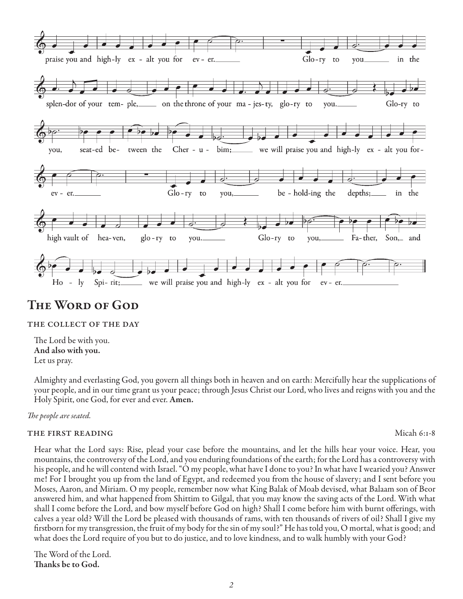

### The Word of God

#### the collect of the day

The Lord be with you. And also with you. Let us pray.

Almighty and everlasting God, you govern all things both in heaven and on earth: Mercifully hear the supplications of your people, and in our time grant us your peace; through Jesus Christ our Lord, who lives and reigns with you and the Holy Spirit, one God, for ever and ever. Amen.

*The people are seated.* 

#### THE FIRST READING Micah 6:1-8

Hear what the Lord says: Rise, plead your case before the mountains, and let the hills hear your voice. Hear, you mountains, the controversy of the Lord, and you enduring foundations of the earth; for the Lord has a controversy with his people, and he will contend with Israel. "O my people, what have I done to you? In what have I wearied you? Answer me! For I brought you up from the land of Egypt, and redeemed you from the house of slavery; and I sent before you Moses, Aaron, and Miriam. O my people, remember now what King Balak of Moab devised, what Balaam son of Beor answered him, and what happened from Shittim to Gilgal, that you may know the saving acts of the Lord. With what shall I come before the Lord, and bow myself before God on high? Shall I come before him with burnt offerings, with calves a year old? Will the Lord be pleased with thousands of rams, with ten thousands of rivers of oil? Shall I give my firstborn for my transgression, the fruit of my body for the sin of my soul?" He has told you, O mortal, what is good; and what does the Lord require of you but to do justice, and to love kindness, and to walk humbly with your God?

The Word of the Lord. Thanks be to God.

*2*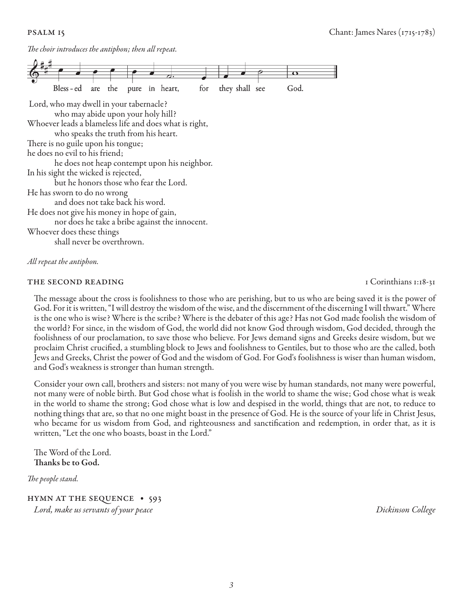#### *The choir introduces the antiphon; then all repeat.*



#### *All repeat the antiphon.*

#### THE SECOND READING THE SECOND READING

The message about the cross is foolishness to those who are perishing, but to us who are being saved it is the power of God. For it is written, "I will destroy the wisdom of the wise, and the discernment of the discerning I will thwart." Where is the one who is wise? Where is the scribe? Where is the debater of this age? Has not God made foolish the wisdom of the world? For since, in the wisdom of God, the world did not know God through wisdom, God decided, through the foolishness of our proclamation, to save those who believe. For Jews demand signs and Greeks desire wisdom, but we proclaim Christ crucified, a stumbling block to Jews and foolishness to Gentiles, but to those who are the called, both Jews and Greeks, Christ the power of God and the wisdom of God. For God's foolishness is wiser than human wisdom, and God's weakness is stronger than human strength.

Consider your own call, brothers and sisters: not many of you were wise by human standards, not many were powerful, not many were of noble birth. But God chose what is foolish in the world to shame the wise; God chose what is weak in the world to shame the strong; God chose what is low and despised in the world, things that are not, to reduce to nothing things that are, so that no one might boast in the presence of God. He is the source of your life in Christ Jesus, who became for us wisdom from God, and righteousness and sanctification and redemption, in order that, as it is written, "Let the one who boasts, boast in the Lord."

The Word of the Lord. Thanks be to God.

*The people stand.*

hymn at the sequence • 593 *Lord, make us servants of your peace Dickinson College*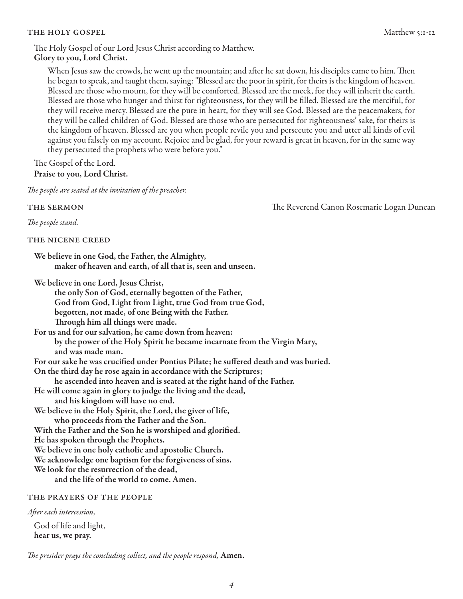#### THE HOLY GOSPEL NATION CONSTRUCTED AND MATTHEW SILED MATTHEW SILED MATTHEW SILED MATTHEW SILED MATTHEW SILED MA

The Holy Gospel of our Lord Jesus Christ according to Matthew. Glory to you, Lord Christ.

When Jesus saw the crowds, he went up the mountain; and after he sat down, his disciples came to him. Then he began to speak, and taught them, saying: "Blessed are the poor in spirit, for theirs is the kingdom of heaven. Blessed are those who mourn, for they will be comforted. Blessed are the meek, for they will inherit the earth. Blessed are those who hunger and thirst for righteousness, for they will be filled. Blessed are the merciful, for they will receive mercy. Blessed are the pure in heart, for they will see God. Blessed are the peacemakers, for they will be called children of God. Blessed are those who are persecuted for righteousness' sake, for theirs is the kingdom of heaven. Blessed are you when people revile you and persecute you and utter all kinds of evil against you falsely on my account. Rejoice and be glad, for your reward is great in heaven, for in the same way they persecuted the prophets who were before you."

The Gospel of the Lord.

Praise to you, Lord Christ.

*The people are seated at the invitation of the preacher.*

THE SERMON GERMON CHARGE SERMON THE SERMON SERVERS THE Reverend Canon Rosemarie Logan Duncan

*The people stand.*

#### the nicene creed

We believe in one God, the Father, the Almighty, maker of heaven and earth, of all that is, seen and unseen.

We believe in one Lord, Jesus Christ,

the only Son of God, eternally begotten of the Father, God from God, Light from Light, true God from true God, begotten, not made, of one Being with the Father. Through him all things were made. For us and for our salvation, he came down from heaven: by the power of the Holy Spirit he became incarnate from the Virgin Mary, and was made man. For our sake he was crucified under Pontius Pilate; he suffered death and was buried. On the third day he rose again in accordance with the Scriptures; he ascended into heaven and is seated at the right hand of the Father. He will come again in glory to judge the living and the dead, and his kingdom will have no end. We believe in the Holy Spirit, the Lord, the giver of life, who proceeds from the Father and the Son. With the Father and the Son he is worshiped and glorified. He has spoken through the Prophets. We believe in one holy catholic and apostolic Church. We acknowledge one baptism for the forgiveness of sins. We look for the resurrection of the dead, and the life of the world to come. Amen. the prayers of the people

*After each intercession,* God of life and light, hear us, we pray.

*The presider prays the concluding collect, and the people respond,* Amen.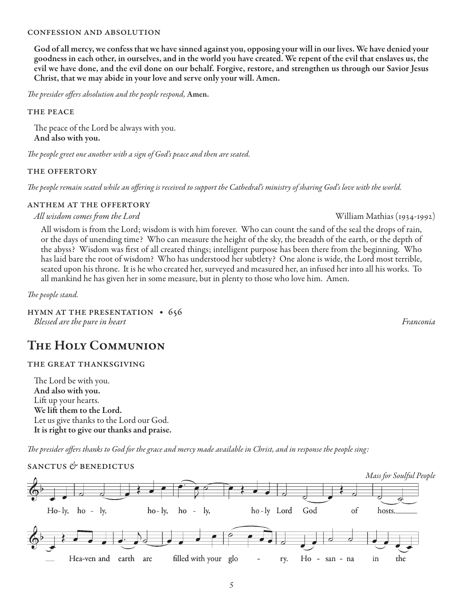#### confession and absolution

God of all mercy, we confess that we have sinned against you, opposing your will in our lives. We have denied your goodness in each other, in ourselves, and in the world you have created. We repent of the evil that enslaves us, the evil we have done, and the evil done on our behalf. Forgive, restore, and strengthen us through our Savior Jesus Christ, that we may abide in your love and serve only your will. Amen.

*The presider offers absolution and the people respond,* Amen.

#### the peace

The peace of the Lord be always with you. And also with you.

*The people greet one another with a sign of God's peace and then are seated.*

#### the offertory

*The people remain seated while an offering is received to support the Cathedral's ministry of sharing God's love with the world.*

#### anthem at the offertory

All wisdom is from the Lord; wisdom is with him forever. Who can count the sand of the seal the drops of rain, or the days of unending time? Who can measure the height of the sky, the breadth of the earth, or the depth of the abyss? Wisdom was first of all created things; intelligent purpose has been there from the beginning. Who has laid bare the root of wisdom? Who has understood her subtlety? One alone is wide, the Lord most terrible, seated upon his throne. It is he who created her, surveyed and measured her, an infused her into all his works. To all mankind he has given her in some measure, but in plenty to those who love him. Amen.

*The people stand.*

hymn at the presentation • 656 *Blessed are the pure in heart Franconia*

### The Holy Communion

#### the great thanksgiving

The Lord be with you. And also with you. Lift up your hearts. We lift them to the Lord. Let us give thanks to the Lord our God. It is right to give our thanks and praise.

*The presider offers thanks to God for the grace and mercy made available in Christ, and in response the people sing:*



*All wisdom comes from the Lord* William Mathias (1934-1992)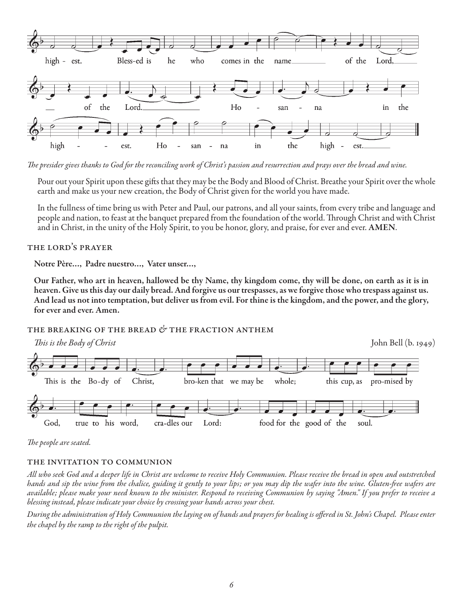

*The presider gives thanks to God for the reconciling work of Christ's passion and resurrection and prays over the bread and wine.*

Pour out your Spirit upon these gifts that they may be the Body and Blood of Christ. Breathe your Spirit over the whole earth and make us your new creation, the Body of Christ given for the world you have made.

In the fullness of time bring us with Peter and Paul, our patrons, and all your saints, from every tribe and language and people and nation, to feast at the banquet prepared from the foundation of the world. Through Christ and with Christ and in Christ, in the unity of the Holy Spirit, to you be honor, glory, and praise, for ever and ever. AMEN.

#### the lord's prayer

Notre Père…, Padre nuestro…, Vater unser…,

Our Father, who art in heaven, hallowed be thy Name, thy kingdom come, thy will be done, on earth as it is in heaven. Give us this day our daily bread. And forgive us our trespasses, as we forgive those who trespass against us. And lead us not into temptation, but deliver us from evil. For thine is the kingdom, and the power, and the glory, for ever and ever. Amen.

#### the breaking of the bread *&* the fraction anthem



*The people are seated.* 

#### THE INVITATION TO COMMUNION

*All who seek God and a deeper life in Christ are welcome to receive Holy Communion. Please receive the bread in open and outstretched hands and sip the wine from the chalice, guiding it gently to your lips; or you may dip the wafer into the wine. Gluten-free wafers are available; please make your need known to the minister. Respond to receiving Communion by saying "Amen." If you prefer to receive a blessing instead, please indicate your choice by crossing your hands across your chest.* 

*During the administration of Holy Communion the laying on of hands and prayers for healing is offered in St. John's Chapel. Please enter the chapel by the ramp to the right of the pulpit.*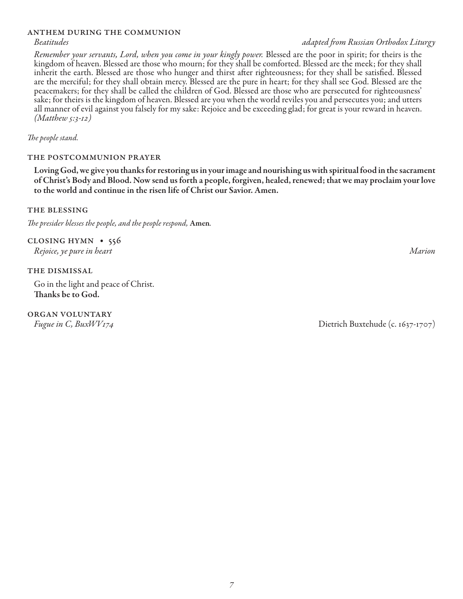#### anthem during the communion

#### *Beatitudes adapted from Russian Orthodox Liturgy*

*Remember your servants, Lord, when you come in your kingly power.* Blessed are the poor in spirit; for theirs is the kingdom of heaven. Blessed are those who mourn; for they shall be comforted. Blessed are the meek; for they shall inherit the earth. Blessed are those who hunger and thirst after righteousness; for they shall be satisfied. Blessed are the merciful; for they shall obtain mercy. Blessed are the pure in heart; for they shall see God. Blessed are the peacemakers; for they shall be called the children of God. Blessed are those who are persecuted for righteousness' sake; for theirs is the kingdom of heaven. Blessed are you when the world reviles you and persecutes you; and utters all manner of evil against you falsely for my sake: Rejoice and be exceeding glad; for great is your reward in heaven. *(Matthew 5:3-12)*

*The people stand.* 

#### the postcommunion prayer

Loving God, we give you thanks for restoring us in your image and nourishing us with spiritual food in the sacrament of Christ's Body and Blood. Now send us forth a people, forgiven, healed, renewed; that we may proclaim your love to the world and continue in the risen life of Christ our Savior. Amen.

#### the blessing

*The presider blesses the people, and the people respond,* Amen*.*

closing hymn • 556 *Rejoice, ye pure in heart Marion*

the dismissal

Go in the light and peace of Christ. Thanks be to God.

organ voluntary

*Fugue in C, BuxWV174* Dietrich Buxtehude (c. 1637-1707)